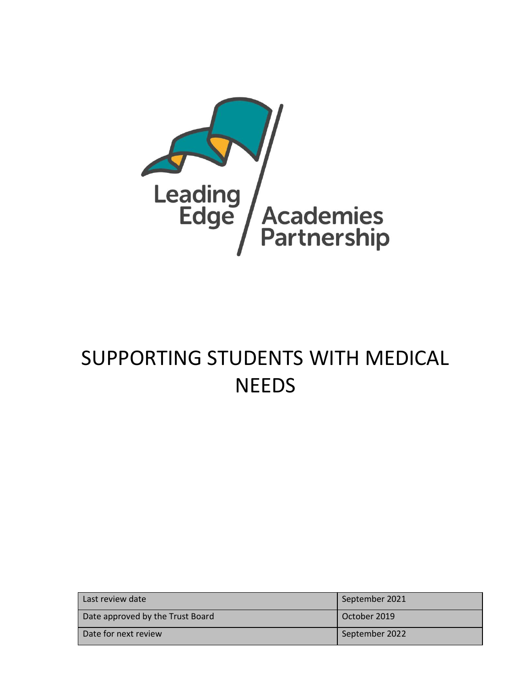

# SUPPORTING STUDENTS WITH MEDICAL NEEDS

| Last review date                 | September 2021 |
|----------------------------------|----------------|
| Date approved by the Trust Board | October 2019   |
| Date for next review             | September 2022 |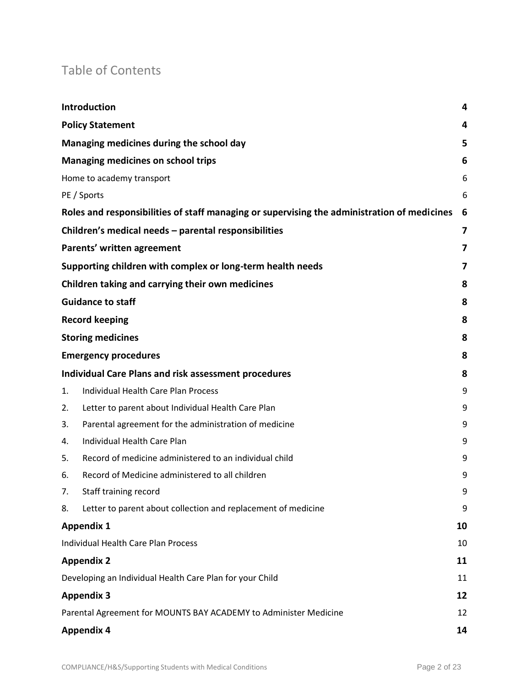# Table of Contents

|    | Introduction                                                                                | 4  |
|----|---------------------------------------------------------------------------------------------|----|
|    | <b>Policy Statement</b>                                                                     | 4  |
|    | Managing medicines during the school day                                                    | 5  |
|    | <b>Managing medicines on school trips</b>                                                   | 6  |
|    | Home to academy transport                                                                   | 6  |
|    | PE / Sports                                                                                 | 6  |
|    | Roles and responsibilities of staff managing or supervising the administration of medicines | 6  |
|    | Children's medical needs - parental responsibilities                                        | 7  |
|    | Parents' written agreement                                                                  | 7  |
|    | Supporting children with complex or long-term health needs                                  | 7  |
|    | Children taking and carrying their own medicines                                            | 8  |
|    | <b>Guidance to staff</b>                                                                    | 8  |
|    | <b>Record keeping</b>                                                                       | 8  |
|    | <b>Storing medicines</b>                                                                    | 8  |
|    | <b>Emergency procedures</b>                                                                 | 8  |
|    | <b>Individual Care Plans and risk assessment procedures</b>                                 | 8  |
| 1. | <b>Individual Health Care Plan Process</b>                                                  | 9  |
| 2. | Letter to parent about Individual Health Care Plan                                          | 9  |
| 3. | Parental agreement for the administration of medicine                                       | 9  |
| 4. | Individual Health Care Plan                                                                 | 9  |
| 5. | Record of medicine administered to an individual child                                      | 9  |
| 6. | Record of Medicine administered to all children                                             | 9  |
| 7. | Staff training record                                                                       | 9  |
| 8. | Letter to parent about collection and replacement of medicine                               | 9  |
|    | <b>Appendix 1</b>                                                                           | 10 |
|    | <b>Individual Health Care Plan Process</b>                                                  | 10 |
|    | <b>Appendix 2</b>                                                                           | 11 |
|    | Developing an Individual Health Care Plan for your Child                                    | 11 |
|    | <b>Appendix 3</b>                                                                           | 12 |
|    | Parental Agreement for MOUNTS BAY ACADEMY to Administer Medicine                            | 12 |
|    | <b>Appendix 4</b>                                                                           | 14 |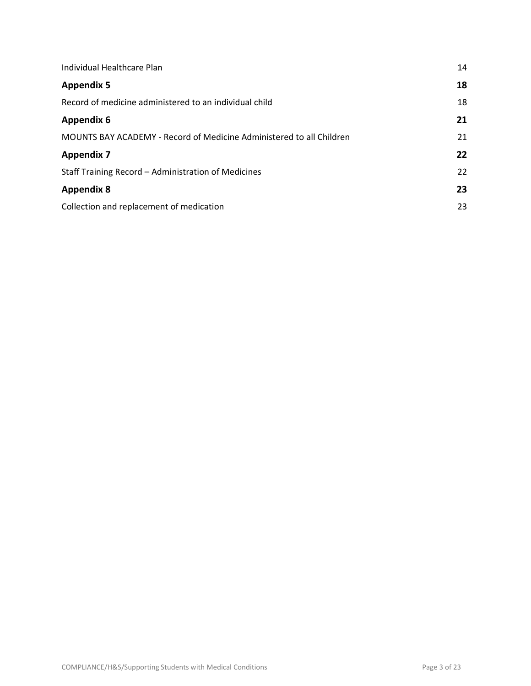| Individual Healthcare Plan                                           | 14 |
|----------------------------------------------------------------------|----|
| <b>Appendix 5</b>                                                    | 18 |
| Record of medicine administered to an individual child               | 18 |
| <b>Appendix 6</b>                                                    | 21 |
| MOUNTS BAY ACADEMY - Record of Medicine Administered to all Children | 21 |
| <b>Appendix 7</b>                                                    | 22 |
| Staff Training Record - Administration of Medicines                  | 22 |
| <b>Appendix 8</b>                                                    | 23 |
| Collection and replacement of medication                             | 23 |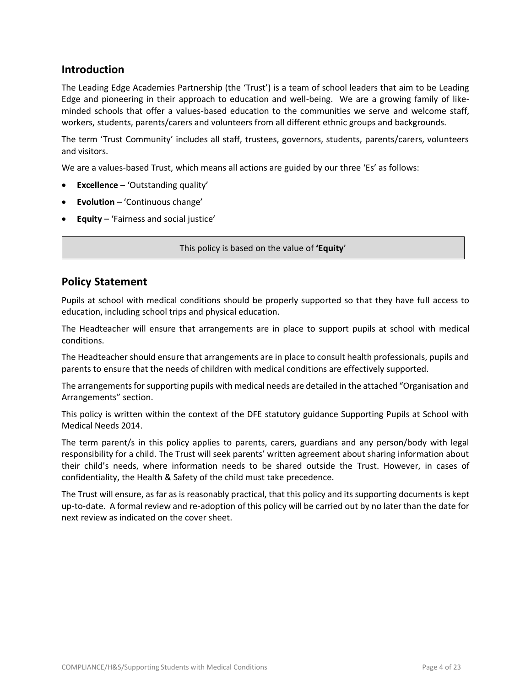### **Introduction**

The Leading Edge Academies Partnership (the 'Trust') is a team of school leaders that aim to be Leading Edge and pioneering in their approach to education and well-being. We are a growing family of likeminded schools that offer a values-based education to the communities we serve and welcome staff, workers, students, parents/carers and volunteers from all different ethnic groups and backgrounds.

The term 'Trust Community' includes all staff, trustees, governors, students, parents/carers, volunteers and visitors.

We are a values-based Trust, which means all actions are guided by our three 'Es' as follows:

- **Excellence** 'Outstanding quality'
- **Evolution** 'Continuous change'
- **Equity** 'Fairness and social justice'

This policy is based on the value of **'Equity**'

### **Policy Statement**

Pupils at school with medical conditions should be properly supported so that they have full access to education, including school trips and physical education.

The Headteacher will ensure that arrangements are in place to support pupils at school with medical conditions.

The Headteacher should ensure that arrangements are in place to consult health professionals, pupils and parents to ensure that the needs of children with medical conditions are effectively supported.

The arrangements for supporting pupils with medical needs are detailed in the attached "Organisation and Arrangements" section.

This policy is written within the context of the DFE statutory guidance Supporting Pupils at School with Medical Needs 2014.

The term parent/s in this policy applies to parents, carers, guardians and any person/body with legal responsibility for a child. The Trust will seek parents' written agreement about sharing information about their child's needs, where information needs to be shared outside the Trust. However, in cases of confidentiality, the Health & Safety of the child must take precedence.

The Trust will ensure, as far as is reasonably practical, that this policy and its supporting documents is kept up-to-date. A formal review and re-adoption of this policy will be carried out by no later than the date for next review as indicated on the cover sheet.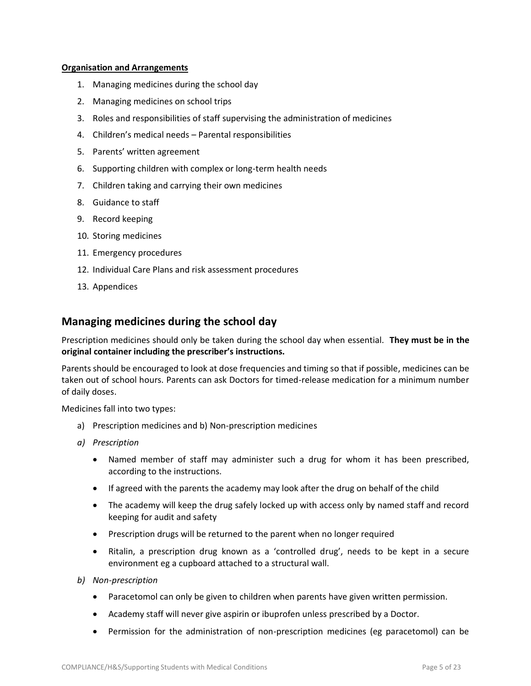#### **Organisation and Arrangements**

- 1. Managing medicines during the school day
- 2. Managing medicines on school trips
- 3. Roles and responsibilities of staff supervising the administration of medicines
- 4. Children's medical needs Parental responsibilities
- 5. Parents' written agreement
- 6. Supporting children with complex or long-term health needs
- 7. Children taking and carrying their own medicines
- 8. Guidance to staff
- 9. Record keeping
- 10. Storing medicines
- 11. Emergency procedures
- 12. Individual Care Plans and risk assessment procedures
- 13. Appendices

### **Managing medicines during the school day**

Prescription medicines should only be taken during the school day when essential. **They must be in the original container including the prescriber's instructions.**

Parents should be encouraged to look at dose frequencies and timing so that if possible, medicines can be taken out of school hours. Parents can ask Doctors for timed-release medication for a minimum number of daily doses.

Medicines fall into two types:

- a) Prescription medicines and b) Non-prescription medicines
- *a) Prescription*
	- Named member of staff may administer such a drug for whom it has been prescribed, according to the instructions.
	- If agreed with the parents the academy may look after the drug on behalf of the child
	- The academy will keep the drug safely locked up with access only by named staff and record keeping for audit and safety
	- Prescription drugs will be returned to the parent when no longer required
	- Ritalin, a prescription drug known as a 'controlled drug', needs to be kept in a secure environment eg a cupboard attached to a structural wall.
- *b) Non-prescription*
	- Paracetomol can only be given to children when parents have given written permission.
	- Academy staff will never give aspirin or ibuprofen unless prescribed by a Doctor.
	- Permission for the administration of non-prescription medicines (eg paracetomol) can be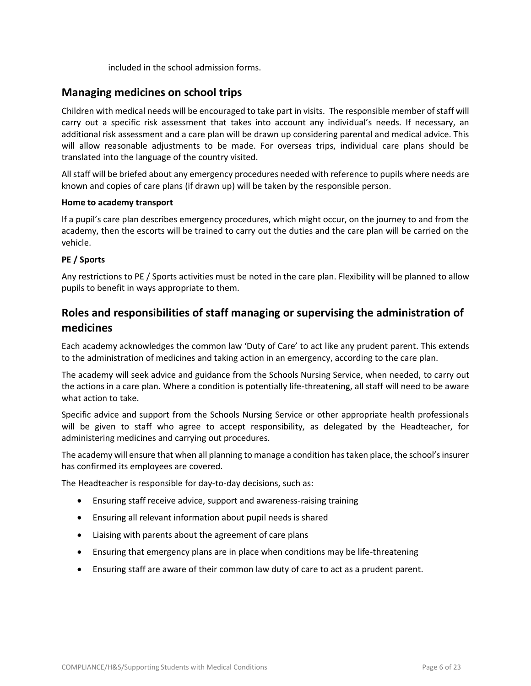included in the school admission forms.

### **Managing medicines on school trips**

Children with medical needs will be encouraged to take part in visits. The responsible member of staff will carry out a specific risk assessment that takes into account any individual's needs. If necessary, an additional risk assessment and a care plan will be drawn up considering parental and medical advice. This will allow reasonable adjustments to be made. For overseas trips, individual care plans should be translated into the language of the country visited.

All staff will be briefed about any emergency procedures needed with reference to pupils where needs are known and copies of care plans (if drawn up) will be taken by the responsible person.

#### **Home to academy transport**

If a pupil's care plan describes emergency procedures, which might occur, on the journey to and from the academy, then the escorts will be trained to carry out the duties and the care plan will be carried on the vehicle.

#### **PE / Sports**

Any restrictions to PE / Sports activities must be noted in the care plan. Flexibility will be planned to allow pupils to benefit in ways appropriate to them.

### **Roles and responsibilities of staff managing or supervising the administration of medicines**

Each academy acknowledges the common law 'Duty of Care' to act like any prudent parent. This extends to the administration of medicines and taking action in an emergency, according to the care plan.

The academy will seek advice and guidance from the Schools Nursing Service, when needed, to carry out the actions in a care plan. Where a condition is potentially life-threatening, all staff will need to be aware what action to take.

Specific advice and support from the Schools Nursing Service or other appropriate health professionals will be given to staff who agree to accept responsibility, as delegated by the Headteacher, for administering medicines and carrying out procedures.

The academy will ensure that when all planning to manage a condition has taken place, the school's insurer has confirmed its employees are covered.

The Headteacher is responsible for day-to-day decisions, such as:

- Ensuring staff receive advice, support and awareness-raising training
- Ensuring all relevant information about pupil needs is shared
- Liaising with parents about the agreement of care plans
- Ensuring that emergency plans are in place when conditions may be life-threatening
- Ensuring staff are aware of their common law duty of care to act as a prudent parent.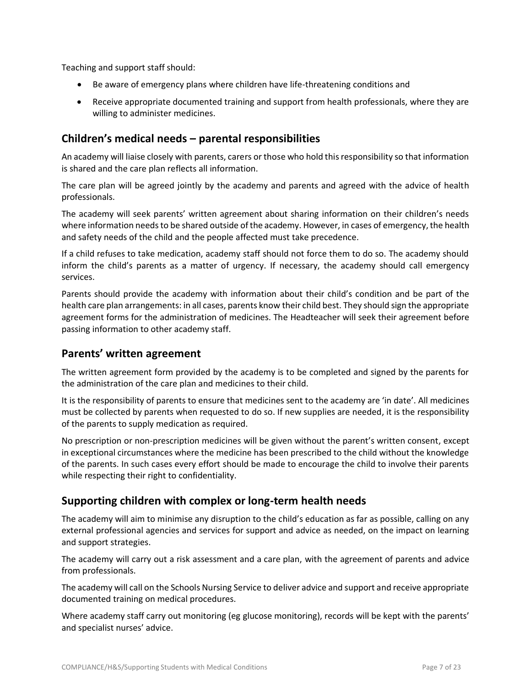Teaching and support staff should:

- Be aware of emergency plans where children have life-threatening conditions and
- Receive appropriate documented training and support from health professionals, where they are willing to administer medicines.

### **Children's medical needs – parental responsibilities**

An academy will liaise closely with parents, carers or those who hold this responsibility so that information is shared and the care plan reflects all information.

The care plan will be agreed jointly by the academy and parents and agreed with the advice of health professionals.

The academy will seek parents' written agreement about sharing information on their children's needs where information needs to be shared outside of the academy. However, in cases of emergency, the health and safety needs of the child and the people affected must take precedence.

If a child refuses to take medication, academy staff should not force them to do so. The academy should inform the child's parents as a matter of urgency. If necessary, the academy should call emergency services.

Parents should provide the academy with information about their child's condition and be part of the health care plan arrangements: in all cases, parents know their child best. They should sign the appropriate agreement forms for the administration of medicines. The Headteacher will seek their agreement before passing information to other academy staff.

### **Parents' written agreement**

The written agreement form provided by the academy is to be completed and signed by the parents for the administration of the care plan and medicines to their child.

It is the responsibility of parents to ensure that medicines sent to the academy are 'in date'. All medicines must be collected by parents when requested to do so. If new supplies are needed, it is the responsibility of the parents to supply medication as required.

No prescription or non-prescription medicines will be given without the parent's written consent, except in exceptional circumstances where the medicine has been prescribed to the child without the knowledge of the parents. In such cases every effort should be made to encourage the child to involve their parents while respecting their right to confidentiality.

### **Supporting children with complex or long-term health needs**

The academy will aim to minimise any disruption to the child's education as far as possible, calling on any external professional agencies and services for support and advice as needed, on the impact on learning and support strategies.

The academy will carry out a risk assessment and a care plan, with the agreement of parents and advice from professionals.

The academy will call on the Schools Nursing Service to deliver advice and support and receive appropriate documented training on medical procedures.

Where academy staff carry out monitoring (eg glucose monitoring), records will be kept with the parents' and specialist nurses' advice.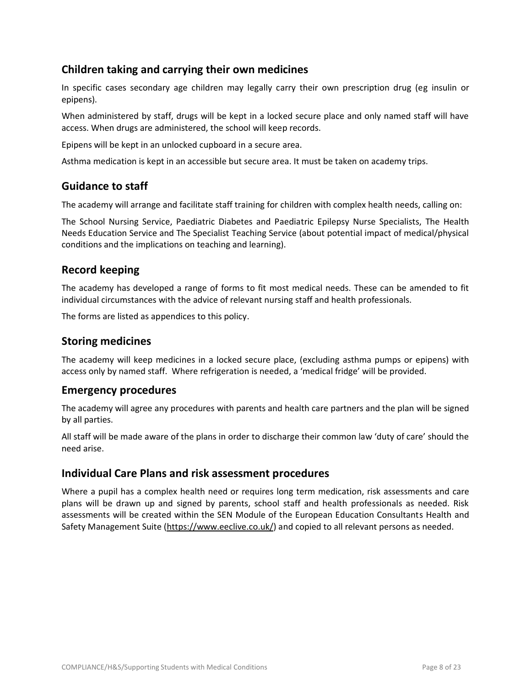### **Children taking and carrying their own medicines**

In specific cases secondary age children may legally carry their own prescription drug (eg insulin or epipens).

When administered by staff, drugs will be kept in a locked secure place and only named staff will have access. When drugs are administered, the school will keep records.

Epipens will be kept in an unlocked cupboard in a secure area.

Asthma medication is kept in an accessible but secure area. It must be taken on academy trips.

### **Guidance to staff**

The academy will arrange and facilitate staff training for children with complex health needs, calling on:

The School Nursing Service, Paediatric Diabetes and Paediatric Epilepsy Nurse Specialists, The Health Needs Education Service and The Specialist Teaching Service (about potential impact of medical/physical conditions and the implications on teaching and learning).

### **Record keeping**

The academy has developed a range of forms to fit most medical needs. These can be amended to fit individual circumstances with the advice of relevant nursing staff and health professionals.

The forms are listed as appendices to this policy.

### **Storing medicines**

The academy will keep medicines in a locked secure place, (excluding asthma pumps or epipens) with access only by named staff. Where refrigeration is needed, a 'medical fridge' will be provided.

### **Emergency procedures**

The academy will agree any procedures with parents and health care partners and the plan will be signed by all parties.

All staff will be made aware of the plans in order to discharge their common law 'duty of care' should the need arise.

### **Individual Care Plans and risk assessment procedures**

Where a pupil has a complex health need or requires long term medication, risk assessments and care plans will be drawn up and signed by parents, school staff and health professionals as needed. Risk assessments will be created within the SEN Module of the European Education Consultants Health and Safety Management Suite [\(https://www.eeclive.co.uk/\)](https://www.eeclive.co.uk/) and copied to all relevant persons as needed.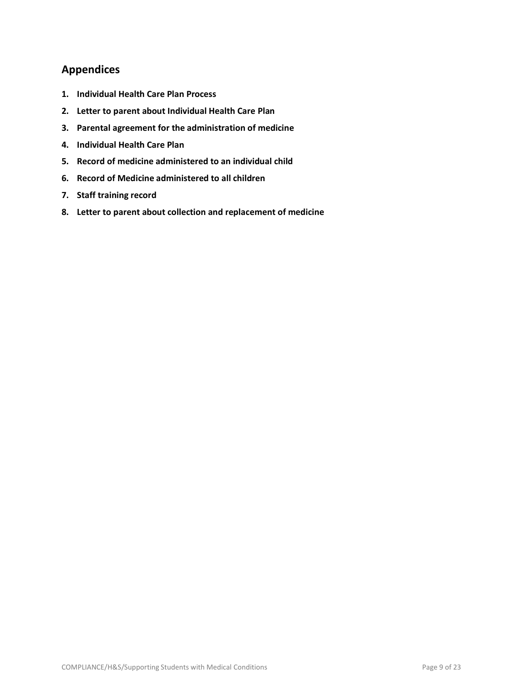### **Appendices**

- **1. Individual Health Care Plan Process**
- **2. Letter to parent about Individual Health Care Plan**
- **3. Parental agreement for the administration of medicine**
- **4. Individual Health Care Plan**
- **5. Record of medicine administered to an individual child**
- **6. Record of Medicine administered to all children**
- **7. Staff training record**
- **8. Letter to parent about collection and replacement of medicine**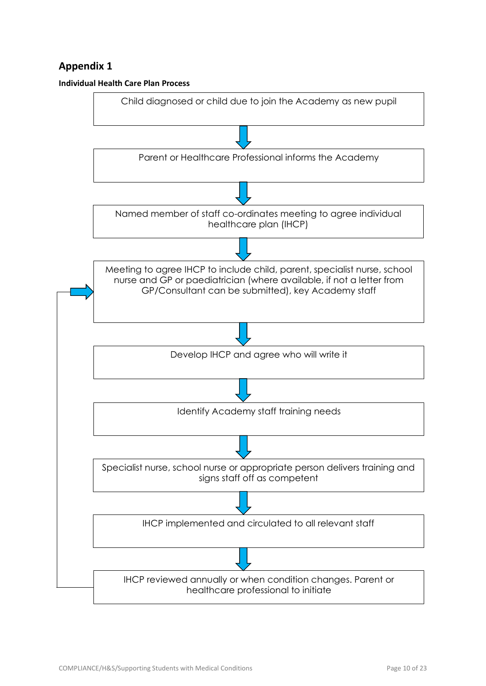

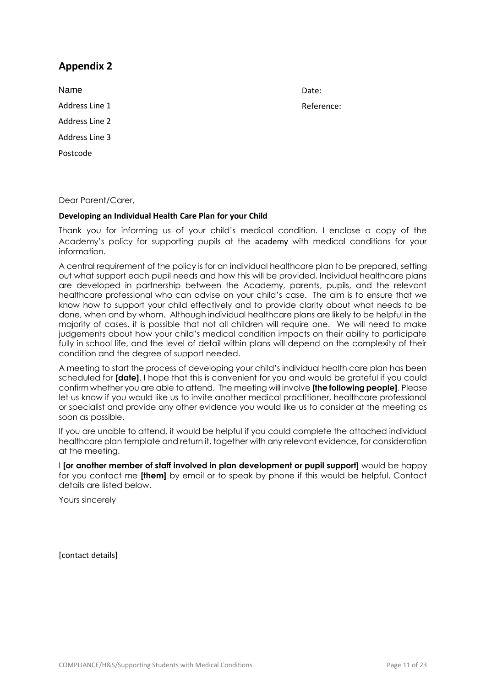Name Address Line 1 Address Line 2 Address Line 3 Postcode

Date: Reference:

Dear Parent/Carer,

#### **Developing an Individual Health Care Plan for your Child**

Thank you for informing us of your child's medical condition. I enclose a copy of the Academy's policy for supporting pupils at the academy with medical conditions for your information.

A central requirement of the policy is for an individual healthcare plan to be prepared, setting out what support each pupil needs and how this will be provided. Individual healthcare plans are developed in partnership between the Academy, parents, pupils, and the relevant healthcare professional who can advise on your child's case. The aim is to ensure that we know how to support your child effectively and to provide clarity about what needs to be done, when and by whom. Although individual healthcare plans are likely to be helpful in the majority of cases, it is possible that not all children will require one. We will need to make judgements about how your child's medical condition impacts on their ability to participate fully in school life, and the level of detail within plans will depend on the complexity of their condition and the degree of support needed.

A meeting to start the process of developing your child's individual health care plan has been scheduled for **[date]**. I hope that this is convenient for you and would be grateful if you could confirm whether you are able to attend. The meeting will involve **[the following people]**. Please let us know if you would like us to invite another medical practitioner, healthcare professional or specialist and provide any other evidence you would like us to consider at the meeting as soon as possible.

If you are unable to attend, it would be helpful if you could complete the attached individual healthcare plan template and return it, together with any relevant evidence, for consideration at the meeting.

I **[or another member of staff involved in plan development or pupil support]** would be happy for you contact me **[them]** by email or to speak by phone if this would be helpful. Contact details are listed below.

Yours sincerely

[contact details]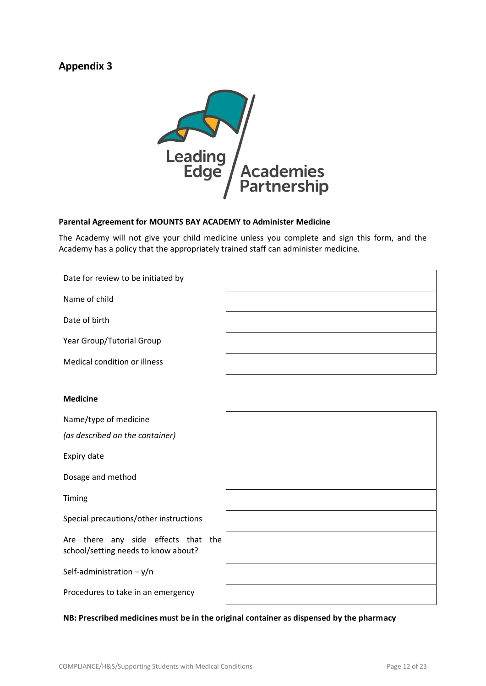

#### **Parental Agreement for MOUNTS BAY ACADEMY to Administer Medicine**

The Academy will not give your child medicine unless you complete and sign this form, and the Academy has a policy that the appropriately trained staff can administer medicine.

| Date for review to be initiated by |  |
|------------------------------------|--|
| Name of child                      |  |
| Date of birth                      |  |
| Year Group/Tutorial Group          |  |
| Medical condition or illness       |  |

#### **Medicine**

Name/type of medicine *(as described on the container)* Expiry date Dosage and method Timing Special precautions/other instructions Are there any side effects that the school/setting needs to know about? Self-administration – y/n Procedures to take in an emergency

#### **NB: Prescribed medicines must be in the original container as dispensed by the pharmacy**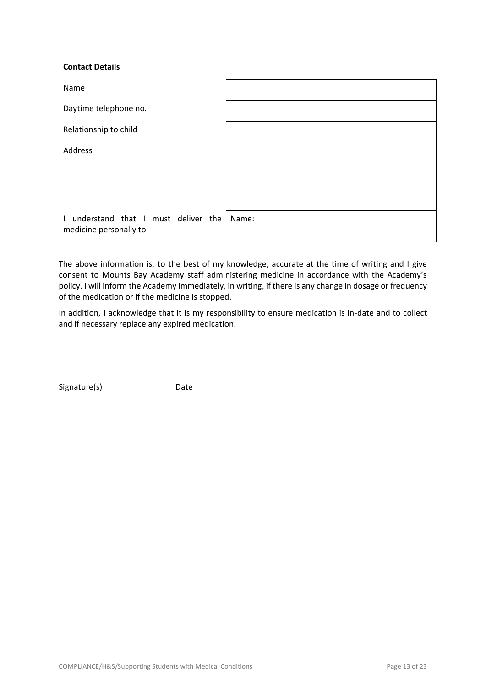#### **Contact Details**

| Name                                                           |       |
|----------------------------------------------------------------|-------|
| Daytime telephone no.                                          |       |
| Relationship to child                                          |       |
| Address                                                        |       |
|                                                                |       |
|                                                                |       |
| I understand that I must deliver the<br>medicine personally to | Name: |

The above information is, to the best of my knowledge, accurate at the time of writing and I give consent to Mounts Bay Academy staff administering medicine in accordance with the Academy's policy. I will inform the Academy immediately, in writing, if there is any change in dosage or frequency of the medication or if the medicine is stopped.

In addition, I acknowledge that it is my responsibility to ensure medication is in-date and to collect and if necessary replace any expired medication.

Signature(s) Date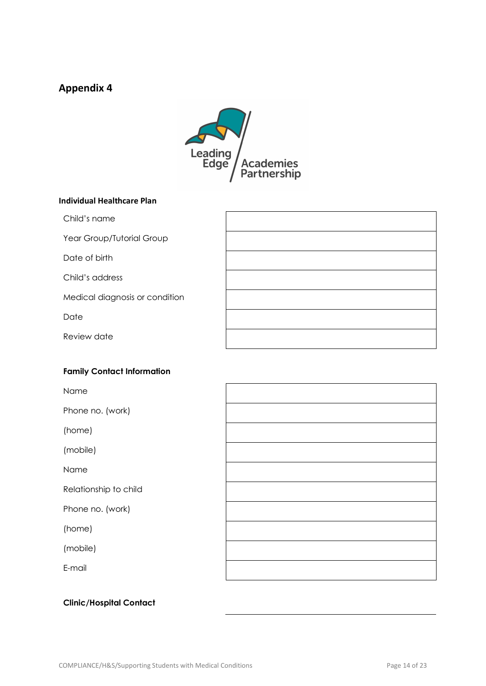

#### **Individual Healthcare Plan**

Child's name

Year Group/Tutorial Group

Date of birth

Child's address

Medical diagnosis or condition

Date

Review date

#### **Family Contact Information**

Name

Phone no. (work)

(home)

(mobile)

Name

Relationship to child

Phone no. (work)

(home)

(mobile)

E-mail



### **Clinic/Hospital Contact**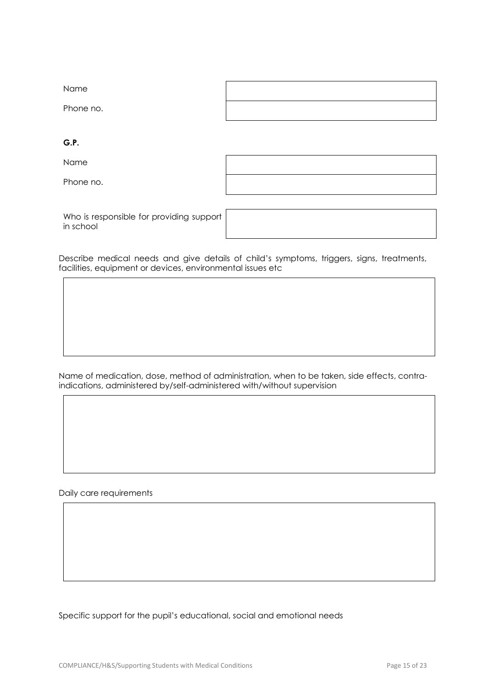| Name      |  |
|-----------|--|
| Phone no. |  |

**G.P.**

Name

Phone no.

Who is responsible for providing support in school

Describe medical needs and give details of child's symptoms, triggers, signs, treatments, facilities, equipment or devices, environmental issues etc

Name of medication, dose, method of administration, when to be taken, side effects, contraindications, administered by/self-administered with/without supervision

Daily care requirements

Specific support for the pupil's educational, social and emotional needs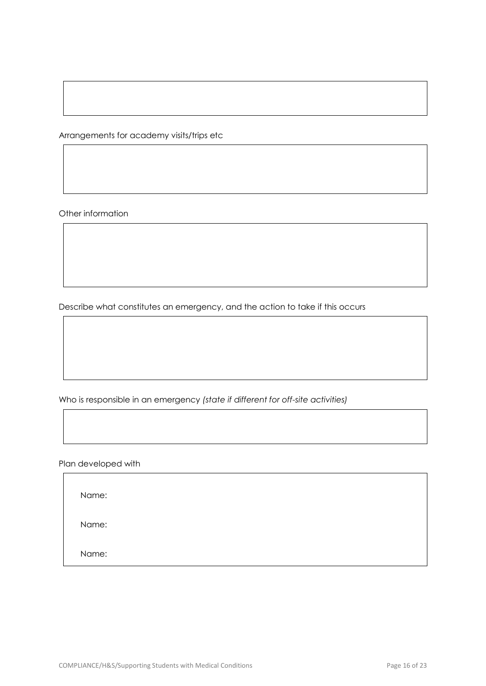Arrangements for academy visits/trips etc

Other information

Describe what constitutes an emergency, and the action to take if this occurs

Who is responsible in an emergency *(state if different for off-site activities)*

Plan developed with

Name:

Name:

Name: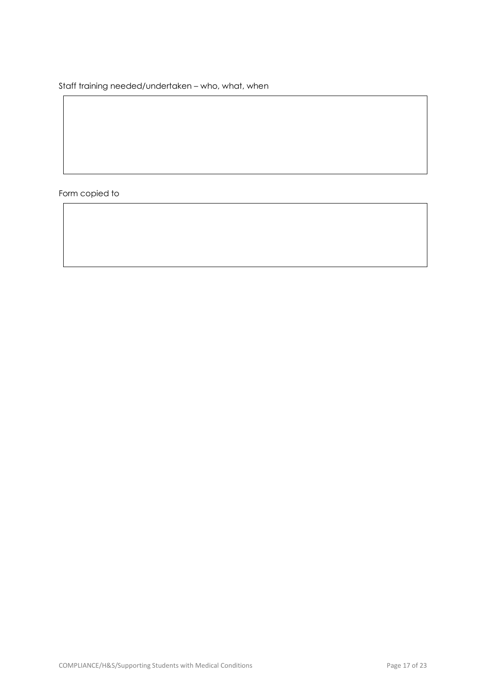Staff training needed/undertaken – who, what, when

Form copied to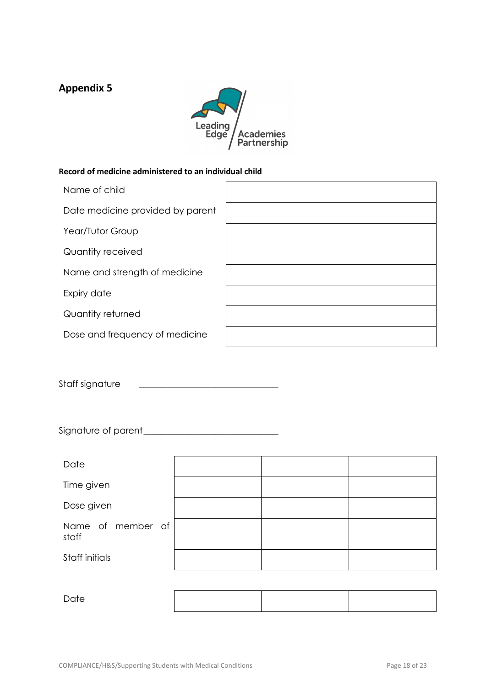

#### **Record of medicine administered to an individual child**

| Name of child                    |  |
|----------------------------------|--|
| Date medicine provided by parent |  |
| Year/Tutor Group                 |  |
| Quantity received                |  |
| Name and strength of medicine    |  |
| Expiry date                      |  |
| Quantity returned                |  |
| Dose and frequency of medicine   |  |

Staff signature

Signature of parent\_\_\_\_\_\_\_\_\_\_\_\_\_\_\_\_\_\_\_\_\_\_\_\_\_\_\_\_\_\_

| Date                       |  |  |
|----------------------------|--|--|
| Time given                 |  |  |
| Dose given                 |  |  |
| Name of member of<br>staff |  |  |
| Staff initials             |  |  |
|                            |  |  |

Date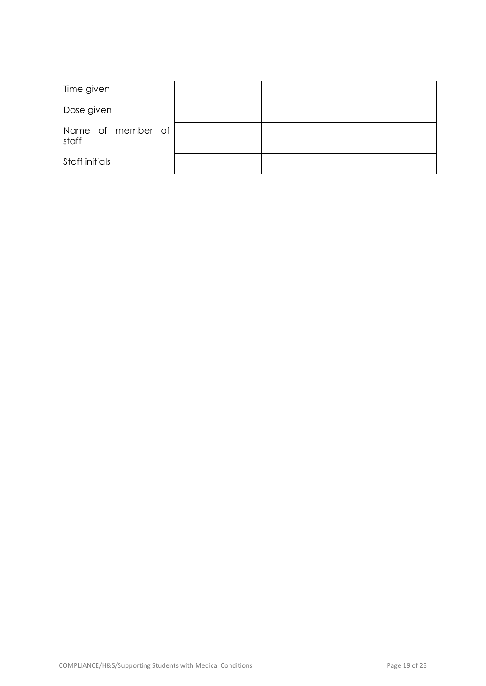| Time given                 |  |  |
|----------------------------|--|--|
| Dose given                 |  |  |
| Name of member of<br>staff |  |  |
| Staff initials             |  |  |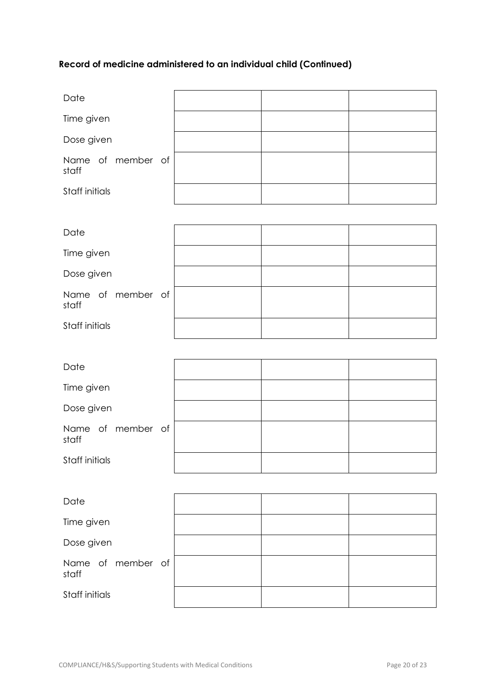# **Record of medicine administered to an individual child (Continued)**

| Date                       |  |  |
|----------------------------|--|--|
| Time given                 |  |  |
| Dose given                 |  |  |
| Name of member of<br>staff |  |  |
| Staff initials             |  |  |

| Date                       |  |  |
|----------------------------|--|--|
| Time given                 |  |  |
| Dose given                 |  |  |
| Name of member of<br>staff |  |  |
| Staff initials             |  |  |

| Date                       |  |  |
|----------------------------|--|--|
| Time given                 |  |  |
| Dose given                 |  |  |
| Name of member of<br>staff |  |  |
| Staff initials             |  |  |

| Date                       |  |  |
|----------------------------|--|--|
| Time given                 |  |  |
| Dose given                 |  |  |
| Name of member of<br>staff |  |  |
| Staff initials             |  |  |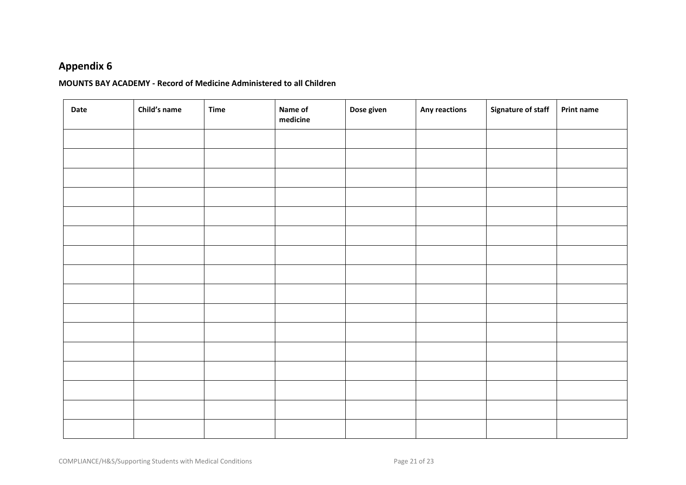#### **MOUNTS BAY ACADEMY - Record of Medicine Administered to all Children**

| Date | Child's name | <b>Time</b> | Name of<br>medicine | Dose given | Any reactions | <b>Signature of staff</b> | <b>Print name</b> |
|------|--------------|-------------|---------------------|------------|---------------|---------------------------|-------------------|
|      |              |             |                     |            |               |                           |                   |
|      |              |             |                     |            |               |                           |                   |
|      |              |             |                     |            |               |                           |                   |
|      |              |             |                     |            |               |                           |                   |
|      |              |             |                     |            |               |                           |                   |
|      |              |             |                     |            |               |                           |                   |
|      |              |             |                     |            |               |                           |                   |
|      |              |             |                     |            |               |                           |                   |
|      |              |             |                     |            |               |                           |                   |
|      |              |             |                     |            |               |                           |                   |
|      |              |             |                     |            |               |                           |                   |
|      |              |             |                     |            |               |                           |                   |
|      |              |             |                     |            |               |                           |                   |
|      |              |             |                     |            |               |                           |                   |
|      |              |             |                     |            |               |                           |                   |
|      |              |             |                     |            |               |                           |                   |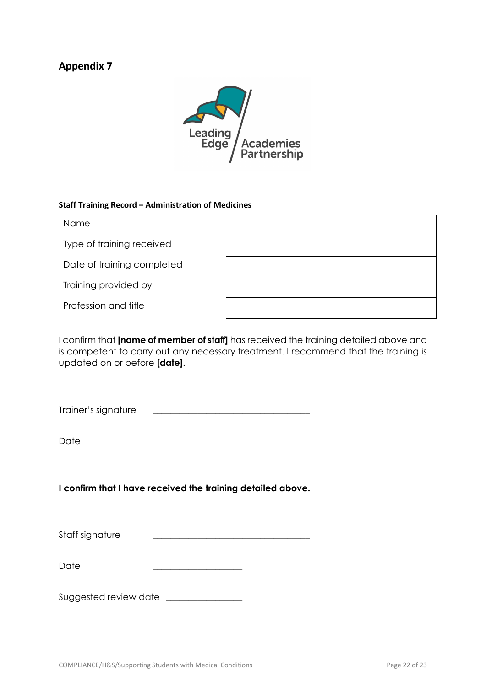

#### **Staff Training Record – Administration of Medicines**

| <b>Name</b>                |  |
|----------------------------|--|
| Type of training received  |  |
| Date of training completed |  |
| Training provided by       |  |
| Profession and title       |  |

I confirm that **[name of member of staff]** has received the training detailed above and is competent to carry out any necessary treatment. I recommend that the training is updated on or before **[date]**.

Trainer's signature \_\_\_\_\_\_\_\_\_\_\_\_\_\_\_\_\_\_\_\_\_\_\_\_\_\_\_\_\_\_\_\_\_\_\_

Date

**I confirm that I have received the training detailed above.**

Staff signature

Date

Suggested review date \_\_\_\_\_\_\_\_\_\_\_\_\_\_\_\_\_